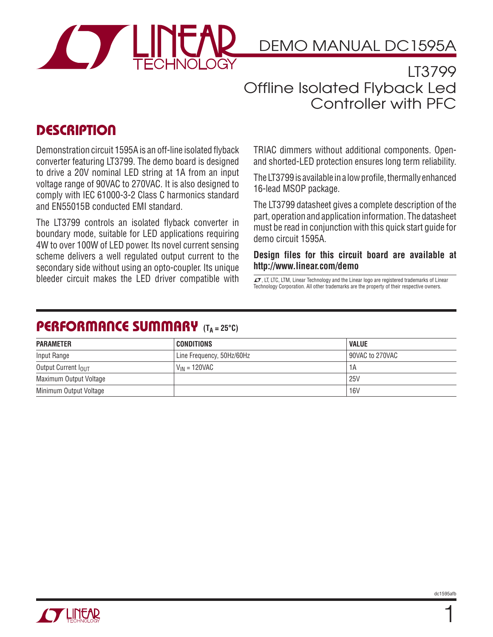

DEMO MANUAL DC1595A

LT3799 Offline Isolated Flyback Led Controller with PFC

## **DESCRIPTION**

Demonstration circuit 1595A is an off-line isolated flyback converter featuring LT3799. The demo board is designed to drive a 20V nominal LED string at 1A from an input voltage range of 90VAC to 270VAC. It is also designed to comply with IEC 61000-3-2 Class C harmonics standard and EN55015B conducted EMI standard.

The LT3799 controls an isolated flyback converter in boundary mode, suitable for LED applications requiring 4W to over 100W of LED power. Its novel current sensing scheme delivers a well regulated output current to the secondary side without using an opto-coupler. Its unique bleeder circuit makes the LED driver compatible with  $\overline{I}$ , LT, LTC, LTM, Linear Technology and the Linear logo are registered trademarks of Linear

TRIAC dimmers without additional components. Openand shorted-LED protection ensures long term reliability.

The LT3799 is available in a low profile, thermally enhanced 16-lead MSOP package.

The LT3799 datasheet gives a complete description of the part, operation and application information. The datasheet must be read in conjunction with this quick start guide for demo circuit 1595A.

**Design files for this circuit board are available at http://www.linear.com/demo**

Technology Corporation. All other trademarks are the property of their respective owners.

### **PERFORMANCE SUMMARY** (T<sub>A</sub> = 25°C)

| <b>PARAMETER</b>                | CONDITIONS                | <b>VALUE</b>    |
|---------------------------------|---------------------------|-----------------|
| Input Range                     | Line Frequency, 50Hz/60Hz | 90VAC to 270VAC |
| Output Current I <sub>OUT</sub> | V <sub>IN</sub> = 120VAC  | 1А              |
| Maximum Output Voltage          |                           | 25V             |
| Minimum Output Voltage          |                           | <b>16V</b>      |

1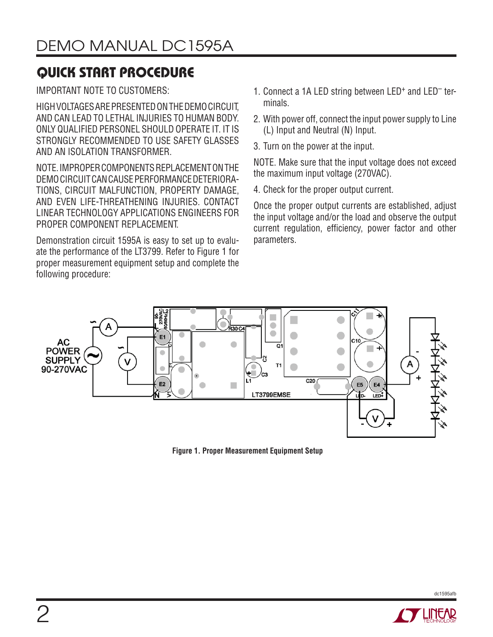# **QUICK START PROCEDURE**

IMPORTANT NOTE TO CUSTOMERS:

HIGH VOLTAGES ARE PRESENTED ON THE DEMO CIRCUIT, AND CAN LEAD TO LETHAL INJURIES TO HUMAN BODY. ONLY QUALIFIED PERSONEL SHOULD OPERATE IT. IT IS STRONGLY RECOMMENDED TO USE SAFETY GLASSES AND AN ISOLATION TRANSFORMER.

NOTE. IMPROPER COMPONENTS REPLACEMENT ON THE DEMO CIRCUIT CAN CAUSE PERFORMANCE DETERIORA-TIONS, CIRCUIT MALFUNCTION, PROPERTY DAMAGE, AND EVEN LIFE-THREATHENING INJURIES. CONTACT LINEAR TECHNOLOGY APPLICATIONS ENGINEERS FOR PROPER COMPONENT REPLACEMENT.

Demonstration circuit 1595A is easy to set up to evaluate the performance of the LT3799. Refer to Figure 1 for proper measurement equipment setup and complete the following procedure:

- 1. Connect a 1A LED string between LED<sup>+</sup> and LED<sup>-</sup> terminals.
- 2. With power off, connect the input power supply to Line (L) Input and Neutral (N) Input.
- 3. Turn on the power at the input.

NOTE. Make sure that the input voltage does not exceed the maximum input voltage (270VAC).

4. Check for the proper output current.

Once the proper output currents are established, adjust the input voltage and/or the load and observe the output current regulation, efficiency, power factor and other parameters.



**Figure 1. Proper Measurement Equipment Setup**



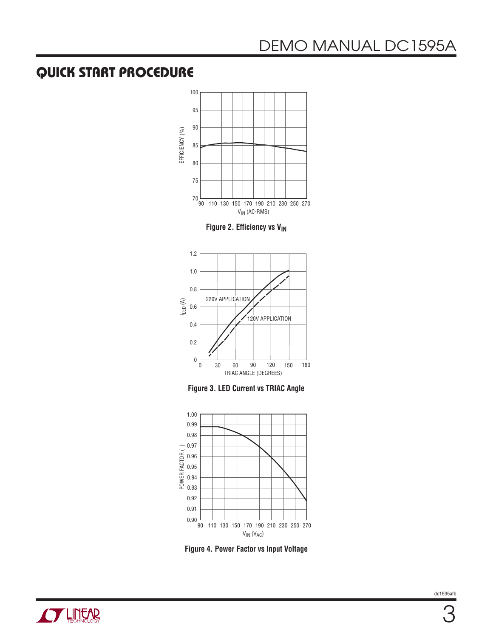## **QUICK START PROCEDURE**



**Figure 2. Efficiency vs V<sub>IN</sub>** 



**Figure 3. LED Current vs TRIAC Angle**



**Figure 4. Power Factor vs Input Voltage**

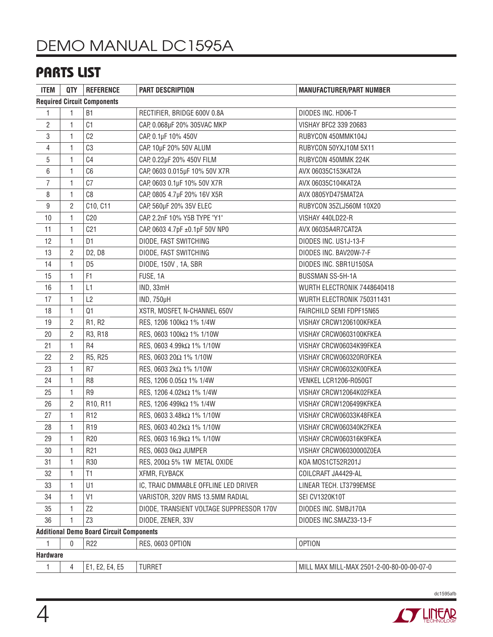## **PARTS LIST**

| <b>ITEM</b>                                     | QTY            | <b>REFERENCE</b>                | <b>PART DESCRIPTION</b>                  | <b>MANUFACTURER/PART NUMBER</b>           |  |
|-------------------------------------------------|----------------|---------------------------------|------------------------------------------|-------------------------------------------|--|
| <b>Required Circuit Components</b>              |                |                                 |                                          |                                           |  |
| 1                                               | 1              | <b>B1</b>                       | RECTIFIER, BRIDGE 600V 0.8A              | DIODES INC. HD06-T                        |  |
| $\mathbf{2}$                                    | 1              | C <sub>1</sub>                  | CAP, 0.068µF 20% 305VAC MKP              | VISHAY BFC2 339 20683                     |  |
| 3                                               | $\mathbf{1}$   | C <sub>2</sub>                  | CAP, 0.1µF 10% 450V                      | RUBYCON 450MMK104J                        |  |
| $\overline{4}$                                  | 1              | C3                              | CAP, 10µF 20% 50V ALUM                   | RUBYCON 50YXJ10M 5X11                     |  |
| 5                                               | 1              | C <sub>4</sub>                  | CAP, 0.22µF 20% 450V FILM                | RUBYCON 450MMK 224K                       |  |
| $\,6\,$                                         | 1              | C6                              | CAP, 0603 0.015µF 10% 50V X7R            | AVX 06035C153KAT2A                        |  |
| $\overline{7}$                                  | 1              | C7                              | CAP, 0603 0.1µF 10% 50V X7R              | AVX 06035C104KAT2A                        |  |
| 8                                               | $\mathbf{1}$   | C <sub>8</sub>                  | CAP, 0805 4.7µF 20% 16V X5R              | AVX 0805YD475MAT2A                        |  |
| $\boldsymbol{9}$                                | $\mathbf{2}$   | C10, C11                        | CAP, 560µF 20% 35V ELEC                  | RUBYCON 35ZLJ560M 10X20                   |  |
| 10                                              | 1              | C20                             | CAP, 2.2nF 10% Y5B TYPE "Y1"             | VISHAY 440LD22-R                          |  |
| 11                                              | 1              | C21                             | CAP, 0603 4.7pF ±0.1pF 50V NP0           | AVX 06035A4R7CAT2A                        |  |
| 12                                              | $\mathbf{1}$   | D <sub>1</sub>                  | DIODE, FAST SWITCHING                    | DIODES INC. US1J-13-F                     |  |
| 13                                              | $\overline{2}$ | D <sub>2</sub> , D <sub>8</sub> | DIODE, FAST SWITCHING                    | DIODES INC. BAV20W-7-F                    |  |
| 14                                              | 1              | D <sub>5</sub>                  | DIODE, 150V, 1A, SBR                     | DIODES INC. SBR1U150SA                    |  |
| 15                                              | $\mathbf{1}$   | F <sub>1</sub>                  | FUSE, 1A                                 | <b>BUSSMAN SS-5H-1A</b>                   |  |
| 16                                              | 1              | L1                              | IND, 33mH                                | WURTH ELECTRONIK 7448640418               |  |
| 17                                              | $\mathbf{1}$   | L2                              | <b>IND, 750µH</b>                        | WURTH ELECTRONIK 750311431                |  |
| 18                                              | 1              | Q1                              | XSTR, MOSFET, N-CHANNEL 650V             | FAIRCHILD SEMI FDPF15N65                  |  |
| 19                                              | $\mathbf{2}$   | R1, R2                          | RES, 1206 100kΩ 1% 1/4W                  | VISHAY CRCW1206100KFKEA                   |  |
| 20                                              | 2              | R3, R18                         | RES, 0603 100kΩ 1% 1/10W                 | VISHAY CRCW0603100KFKEA                   |  |
| 21                                              | 1              | R4                              | RES, 0603 4.99kΩ 1% 1/10W                | VISHAY CRCW06034K99FKEA                   |  |
| 22                                              | $\overline{2}$ | R5, R25                         | RES, 0603 20Ω 1% 1/10W                   | VISHAY CRCW060320R0FKEA                   |  |
| 23                                              | 1              | R7                              | RES, 0603 2kΩ 1% 1/10W                   | VISHAY CRCW06032K00FKEA                   |  |
| 24                                              | 1              | R <sub>8</sub>                  | RES, 1206 0.05Ω 1% 1/4W                  | VENKEL LCR1206-R050GT                     |  |
| 25                                              | 1              | R9                              | RES, 1206 4.02kΩ 1% 1/4W                 | VISHAY CRCW12064K02FKEA                   |  |
| 26                                              | 2              | R10, R11                        | RES, 1206 499kΩ 1% 1/4W                  | VISHAY CRCW1206499KFKEA                   |  |
| 27                                              | 1              | R12                             | RES, 0603 3.48kΩ 1% 1/10W                | VISHAY CRCW06033K48FKEA                   |  |
| 28                                              | 1              | R <sub>19</sub>                 | RES, 0603 40.2kΩ 1% 1/10W                | VISHAY CRCW060340K2FKEA                   |  |
| 29                                              | $\mathbf{1}$   | R <sub>20</sub>                 | RES, 0603 16.9kΩ 1% 1/10W                | VISHAY CRCW060316K9FKEA                   |  |
| 30                                              | 1              | R <sub>21</sub>                 | RES, 0603 0kΩ JUMPER                     | VISHAY CRCW06030000Z0EA                   |  |
| 31                                              | 1              | R30                             | RES, 200 $\Omega$ 5% 1W METAL OXIDE      | KOA MOS1CT52R201J                         |  |
| 32                                              | 1              | T1                              | XFMR, FLYBACK                            | COILCRAFT JA4429-AL                       |  |
| 33                                              | 1              | U1                              | IC, TRAIC DMMABLE OFFLINE LED DRIVER     | LINEAR TECH. LT3799EMSE                   |  |
| 34                                              | 1              | V <sub>1</sub>                  | VARISTOR, 320V RMS 13.5MM RADIAL         | SEI CV1320K10T                            |  |
| 35                                              | $\mathbf{1}$   | Z <sub>2</sub>                  | DIODE, TRANSIENT VOLTAGE SUPPRESSOR 170V | DIODES INC. SMBJ170A                      |  |
| 36                                              | $\mathbf{1}$   | Z3                              | DIODE, ZENER, 33V                        | DIODES INC.SMAZ33-13-F                    |  |
| <b>Additional Demo Board Circuit Components</b> |                |                                 |                                          |                                           |  |
| 1                                               | 0              | R <sub>22</sub>                 | <b>RES, 0603 OPTION</b>                  | <b>OPTION</b>                             |  |
| <b>Hardware</b>                                 |                |                                 |                                          |                                           |  |
| 1                                               | 4              | E1, E2, E4, E5                  | <b>TURRET</b>                            | MILL MAX MILL-MAX 2501-2-00-80-00-00-07-0 |  |

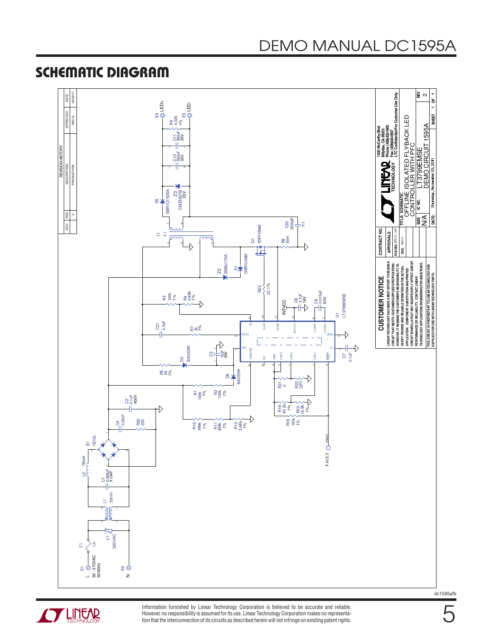# DEMO MANUAL DC1595A

### **SCHEMATIC DIAGRAM**





Information furnished by Linear Technology Corporation is believed to be accurate and reliable. However, no responsibility is assumed for its use. Linear Technology Corporation makes no representation that the interconnection of its circuits as described herein will not infringe on existing patent rights. dc1595afb